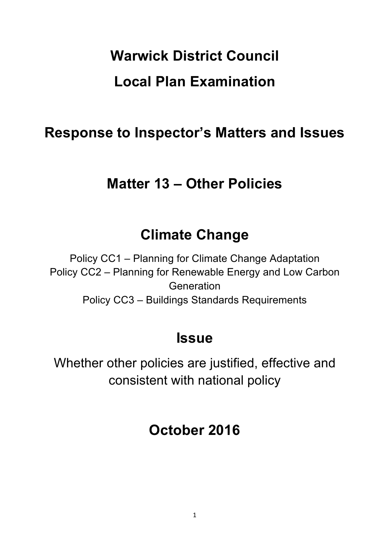# **Warwick District Council Local Plan Examination**

### **Response to Inspector's Matters and Issues**

### **Matter 13 – Other Policies**

## **Climate Change**

Policy CC1 – Planning for Climate Change Adaptation Policy CC2 – Planning for Renewable Energy and Low Carbon Generation Policy CC3 – Buildings Standards Requirements

### **Issue**

Whether other policies are justified, effective and consistent with national policy

### **October 2016**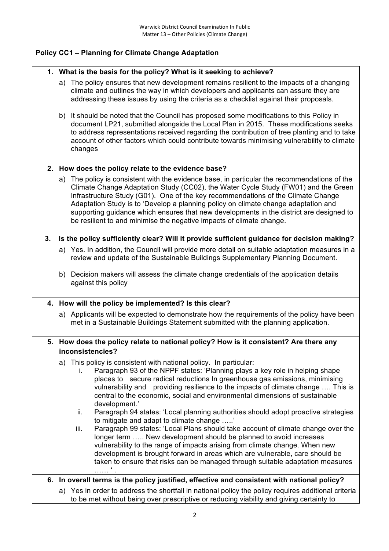#### **Policy CC1 – Planning for Climate Change Adaptation**

#### **1. What is the basis for the policy? What is it seeking to achieve?**

- a) The policy ensures that new development remains resilient to the impacts of a changing climate and outlines the way in which developers and applicants can assure they are addressing these issues by using the criteria as a checklist against their proposals.
- b) It should be noted that the Council has proposed some modifications to this Policy in document LP21, submitted alongside the Local Plan in 2015. These modifications seeks to address representations received regarding the contribution of tree planting and to take account of other factors which could contribute towards minimising vulnerability to climate changes

#### **2. How does the policy relate to the evidence base?**

a) The policy is consistent with the evidence base, in particular the recommendations of the Climate Change Adaptation Study (CC02), the Water Cycle Study (FW01) and the Green Infrastructure Study (G01). One of the key recommendations of the Climate Change Adaptation Study is to 'Develop a planning policy on climate change adaptation and supporting guidance which ensures that new developments in the district are designed to be resilient to and minimise the negative impacts of climate change.

#### **3. Is the policy sufficiently clear? Will it provide sufficient guidance for decision making?**

- a) Yes. In addition, the Council will provide more detail on suitable adaptation measures in a review and update of the Sustainable Buildings Supplementary Planning Document.
- b) Decision makers will assess the climate change credentials of the application details against this policy

#### **4. How will the policy be implemented? Is this clear?**

a) Applicants will be expected to demonstrate how the requirements of the policy have been met in a Sustainable Buildings Statement submitted with the planning application.

#### **5. How does the policy relate to national policy? How is it consistent? Are there any inconsistencies?**

- a) This policy is consistent with national policy. In particular:
	- i. Paragraph 93 of the NPPF states: 'Planning plays a key role in helping shape places to secure radical reductions In greenhouse gas emissions, minimising vulnerability and providing resilience to the impacts of climate change …. This is central to the economic, social and environmental dimensions of sustainable development.'
	- ii. Paragraph 94 states: 'Local planning authorities should adopt proactive strategies to mitigate and adapt to climate change …..'
	- iii. Paragraph 99 states: 'Local Plans should take account of climate change over the longer term ….. New development should be planned to avoid increases vulnerability to the range of impacts arising from climate change. When new development is brought forward in areas which are vulnerable, care should be taken to ensure that risks can be managed through suitable adaptation measures …… ' .
- **6. In overall terms is the policy justified, effective and consistent with national policy?**
	- a) Yes in order to address the shortfall in national policy the policy requires additional criteria to be met without being over prescriptive or reducing viability and giving certainty to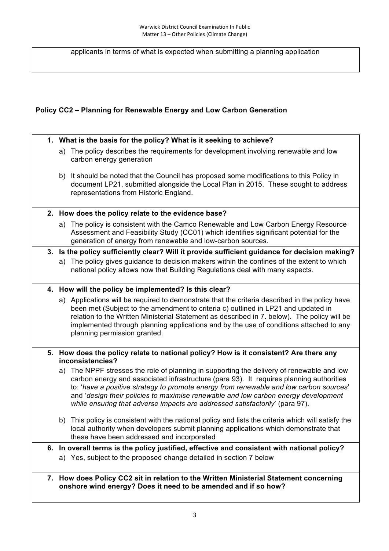applicants in terms of what is expected when submitting a planning application

#### **Policy CC2 – Planning for Renewable Energy and Low Carbon Generation**

#### **1. What is the basis for the policy? What is it seeking to achieve?**

- a) The policy describes the requirements for development involving renewable and low carbon energy generation
- b) It should be noted that the Council has proposed some modifications to this Policy in document LP21, submitted alongside the Local Plan in 2015. These sought to address representations from Historic England.

#### **2. How does the policy relate to the evidence base?**

a) The policy is consistent with the Camco Renewable and Low Carbon Energy Resource Assessment and Feasibility Study (CC01) which identifies significant potential for the generation of energy from renewable and low-carbon sources.

#### **3. Is the policy sufficiently clear? Will it provide sufficient guidance for decision making?**

a) The policy gives guidance to decision makers within the confines of the extent to which national policy allows now that Building Regulations deal with many aspects.

#### **4. How will the policy be implemented? Is this clear?**

a) Applications will be required to demonstrate that the criteria described in the policy have been met (Subject to the amendment to criteria c) outlined in LP21 and updated in relation to the Written Ministerial Statement as described in 7. below). The policy will be implemented through planning applications and by the use of conditions attached to any planning permission granted.

#### **5. How does the policy relate to national policy? How is it consistent? Are there any inconsistencies?**

- a) The NPPF stresses the role of planning in supporting the delivery of renewable and low carbon energy and associated infrastructure (para 93). It requires planning authorities to: '*have a positive strategy to promote energy from renewable and low carbon sources*' and '*design their policies to maximise renewable and low carbon energy development while ensuring that adverse impacts are addressed satisfactorily*' (para 97).
- b) This policy is consistent with the national policy and lists the criteria which will satisfy the local authority when developers submit planning applications which demonstrate that these have been addressed and incorporated
- **6. In overall terms is the policy justified, effective and consistent with national policy?** a) Yes, subject to the proposed change detailed in section 7 below
- **7. How does Policy CC2 sit in relation to the Written Ministerial Statement concerning onshore wind energy? Does it need to be amended and if so how?**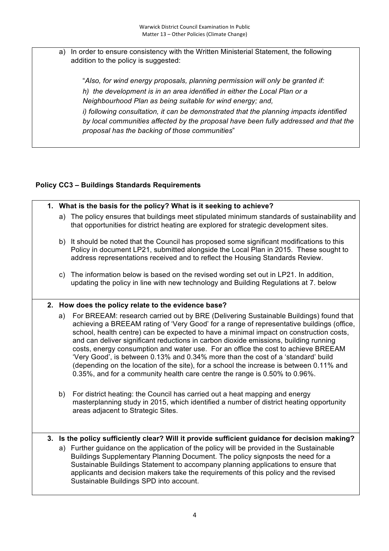a) In order to ensure consistency with the Written Ministerial Statement, the following addition to the policy is suggested:

"*Also, for wind energy proposals, planning permission will only be granted if: h) the development is in an area identified in either the Local Plan or a Neighbourhood Plan as being suitable for wind energy; and, i) following consultation, it can be demonstrated that the planning impacts identified by local communities affected by the proposal have been fully addressed and that the proposal has the backing of those communities*"

#### **Policy CC3 – Buildings Standards Requirements**

- **1. What is the basis for the policy? What is it seeking to achieve?**
	- a) The policy ensures that buildings meet stipulated minimum standards of sustainability and that opportunities for district heating are explored for strategic development sites.
	- b) It should be noted that the Council has proposed some significant modifications to this Policy in document LP21, submitted alongside the Local Plan in 2015. These sought to address representations received and to reflect the Housing Standards Review.
	- c) The information below is based on the revised wording set out in LP21. In addition, updating the policy in line with new technology and Building Regulations at 7. below

#### **2. How does the policy relate to the evidence base?**

- a) For BREEAM: research carried out by BRE (Delivering Sustainable Buildings) found that achieving a BREEAM rating of 'Very Good' for a range of representative buildings (office, school, health centre) can be expected to have a minimal impact on construction costs, and can deliver significant reductions in carbon dioxide emissions, building running costs, energy consumption and water use. For an office the cost to achieve BREEAM 'Very Good', is between 0.13% and 0.34% more than the cost of a 'standard' build (depending on the location of the site), for a school the increase is between 0.11% and 0.35%, and for a community health care centre the range is 0.50% to 0.96%.
- b) For district heating: the Council has carried out a heat mapping and energy masterplanning study in 2015, which identified a number of district heating opportunity areas adjacent to Strategic Sites.

#### **3. Is the policy sufficiently clear? Will it provide sufficient guidance for decision making?**

a) Further guidance on the application of the policy will be provided in the Sustainable Buildings Supplementary Planning Document. The policy signposts the need for a Sustainable Buildings Statement to accompany planning applications to ensure that applicants and decision makers take the requirements of this policy and the revised Sustainable Buildings SPD into account.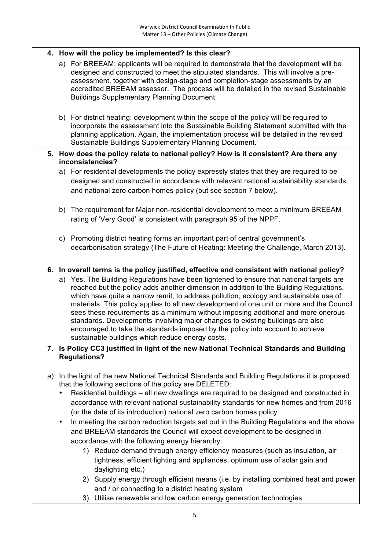#### **4. How will the policy be implemented? Is this clear?**

- a) For BREEAM: applicants will be required to demonstrate that the development will be designed and constructed to meet the stipulated standards. This will involve a preassessment, together with design-stage and completion-stage assessments by an accredited BREEAM assessor. The process will be detailed in the revised Sustainable Buildings Supplementary Planning Document.
- b) For district heating: development within the scope of the policy will be required to incorporate the assessment into the Sustainable Building Statement submitted with the planning application. Again, the implementation process will be detailed in the revised Sustainable Buildings Supplementary Planning Document.
- **5. How does the policy relate to national policy? How is it consistent? Are there any inconsistencies?**
	- a) For residential developments the policy expressly states that they are required to be designed and constructed in accordance with relevant national sustainability standards and national zero carbon homes policy (but see section 7 below).
	- b) The requirement for Major non-residential development to meet a minimum BREEAM rating of 'Very Good' is consistent with paragraph 95 of the NPPF.
	- c) Promoting district heating forms an important part of central government's decarbonisation strategy (The Future of Heating: Meeting the Challenge, March 2013).

#### **6. In overall terms is the policy justified, effective and consistent with national policy?**

a) Yes. The Building Regulations have been tightened to ensure that national targets are reached but the policy adds another dimension in addition to the Building Regulations, which have quite a narrow remit, to address pollution, ecology and sustainable use of materials. This policy applies to all new development of one unit or more and the Council sees these requirements as a minimum without imposing additional and more onerous standards. Developments involving major changes to existing buildings are also encouraged to take the standards imposed by the policy into account to achieve sustainable buildings which reduce energy costs.

#### **7. Is Policy CC3 justified in light of the new National Technical Standards and Building Regulations?**

- a) In the light of the new National Technical Standards and Building Regulations it is proposed that the following sections of the policy are DELETED:
	- Residential buildings all new dwellings are required to be designed and constructed in accordance with relevant national sustainability standards for new homes and from 2016 (or the date of its introduction) national zero carbon homes policy
	- In meeting the carbon reduction targets set out in the Building Regulations and the above and BREEAM standards the Council will expect development to be designed in accordance with the following energy hierarchy:
		- 1) Reduce demand through energy efficiency measures (such as insulation, air tightness, efficient lighting and appliances, optimum use of solar gain and daylighting etc.)
		- 2) Supply energy through efficient means (i.e. by installing combined heat and power and / or connecting to a district heating system
		- 3) Utilise renewable and low carbon energy generation technologies